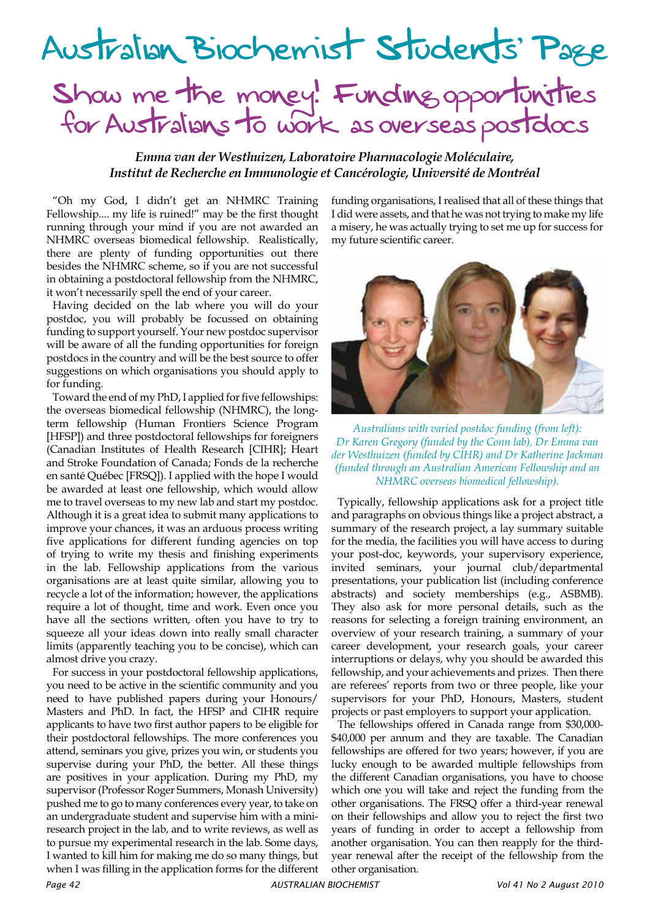

*Emma van der Westhuizen, Laboratoire Pharmacologie Moléculaire, Institut de Recherche en Immunologie et Cancérologie, Université de Montréal*

"Oh my God, I didn't get an NHMRC Training Fellowship.... my life is ruined!" may be the first thought running through your mind if you are not awarded an NHMRC overseas biomedical fellowship. Realistically, there are plenty of funding opportunities out there besides the NHMRC scheme, so if you are not successful in obtaining a postdoctoral fellowship from the NHMRC, it won't necessarily spell the end of your career.

Having decided on the lab where you will do your postdoc, you will probably be focussed on obtaining funding to support yourself. Your new postdoc supervisor will be aware of all the funding opportunities for foreign postdocs in the country and will be the best source to offer suggestions on which organisations you should apply to for funding.

Toward the end of my PhD, I applied for five fellowships: the overseas biomedical fellowship (NHMRC), the longterm fellowship (Human Frontiers Science Program [HFSP]) and three postdoctoral fellowships for foreigners (Canadian Institutes of Health Research [CIHR]; Heart and Stroke Foundation of Canada; Fonds de la recherche en santé Québec [FRSQ]). I applied with the hope I would be awarded at least one fellowship, which would allow me to travel overseas to my new lab and start my postdoc. Although it is a great idea to submit many applications to improve your chances, it was an arduous process writing five applications for different funding agencies on top of trying to write my thesis and finishing experiments in the lab. Fellowship applications from the various organisations are at least quite similar, allowing you to recycle a lot of the information; however, the applications require a lot of thought, time and work. Even once you have all the sections written, often you have to try to squeeze all your ideas down into really small character limits (apparently teaching you to be concise), which can almost drive you crazy.

For success in your postdoctoral fellowship applications, you need to be active in the scientific community and you need to have published papers during your Honours/ Masters and PhD. In fact, the HFSP and CIHR require applicants to have two first author papers to be eligible for their postdoctoral fellowships. The more conferences you attend, seminars you give, prizes you win, or students you supervise during your PhD, the better. All these things are positives in your application. During my PhD, my supervisor (Professor Roger Summers, Monash University) pushed me to go to many conferences every year, to take on an undergraduate student and supervise him with a miniresearch project in the lab, and to write reviews, as well as to pursue my experimental research in the lab. Some days, I wanted to kill him for making me do so many things, but when I was filling in the application forms for the different funding organisations, I realised that all of these things that I did were assets, and that he was not trying to make my life a misery, he was actually trying to set me up for success for my future scientific career.



*Australians with varied postdoc funding (from left): Dr Karen Gregory (funded by the Conn lab), Dr Emma van der Westhuizen (funded by CIHR) and Dr Katherine Jackman (funded through an Australian American Fellowship and an NHMRC overseas biomedical fellowship).*

Typically, fellowship applications ask for a project title and paragraphs on obvious things like a project abstract, a summary of the research project, a lay summary suitable for the media, the facilities you will have access to during your post-doc, keywords, your supervisory experience, invited seminars, your journal club/departmental presentations, your publication list (including conference abstracts) and society memberships (e.g., ASBMB). They also ask for more personal details, such as the reasons for selecting a foreign training environment, an overview of your research training, a summary of your career development, your research goals, your career interruptions or delays, why you should be awarded this fellowship, and your achievements and prizes. Then there are referees' reports from two or three people, like your supervisors for your PhD, Honours, Masters, student projects or past employers to support your application.

The fellowships offered in Canada range from \$30,000- \$40,000 per annum and they are taxable. The Canadian fellowships are offered for two years; however, if you are lucky enough to be awarded multiple fellowships from the different Canadian organisations, you have to choose which one you will take and reject the funding from the other organisations. The FRSQ offer a third-year renewal on their fellowships and allow you to reject the first two years of funding in order to accept a fellowship from another organisation. You can then reapply for the thirdyear renewal after the receipt of the fellowship from the other organisation.